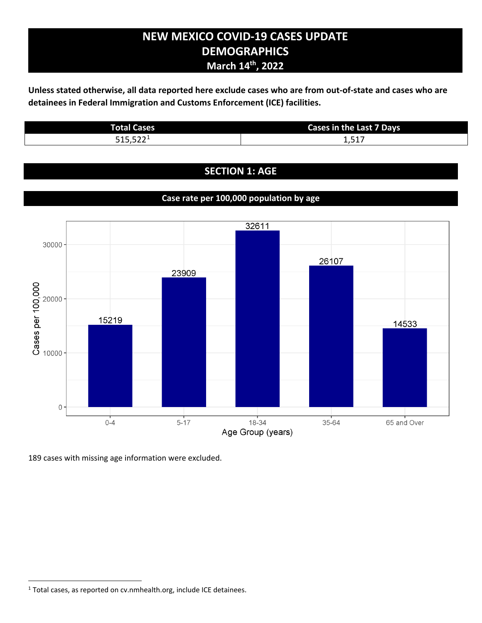# **NEW MEXICO COVID-19 CASES UPDATE DEMOGRAPHICS March 14th, 2022**

**Unless stated otherwise, all data reported here exclude cases who are from out-of-state and cases who are detainees in Federal Immigration and Customs Enforcement (ICE) facilities.**

| <b>Total Cases</b> | <b>Cases in the Last 7 Days</b> |
|--------------------|---------------------------------|
| $FAP$ $F22$        | .51                             |
| ے ے ر.ب د          | 1.J1/                           |

## **SECTION 1: AGE**

## **Case rate per 100,000 population by age**



189 cases with missing age information were excluded.

<span id="page-0-0"></span><sup>&</sup>lt;sup>1</sup> Total cases, as reported on cv.nmhealth.org, include ICE detainees.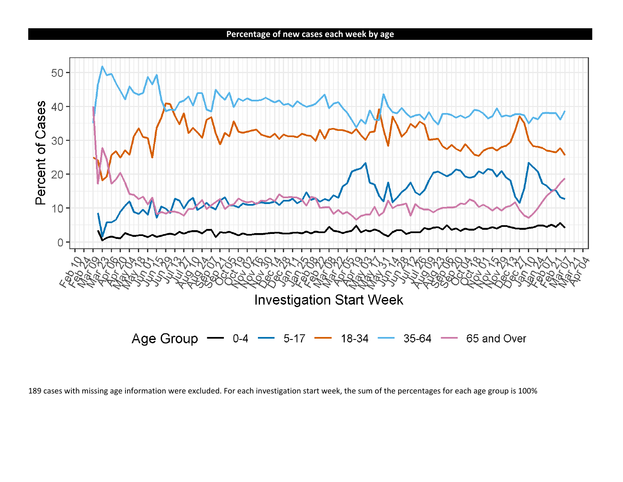**Percentage of new cases each week by age**



<sup>189</sup> cases with missing age information were excluded. For each investigation start week, the sum of the percentages for each age group is 100%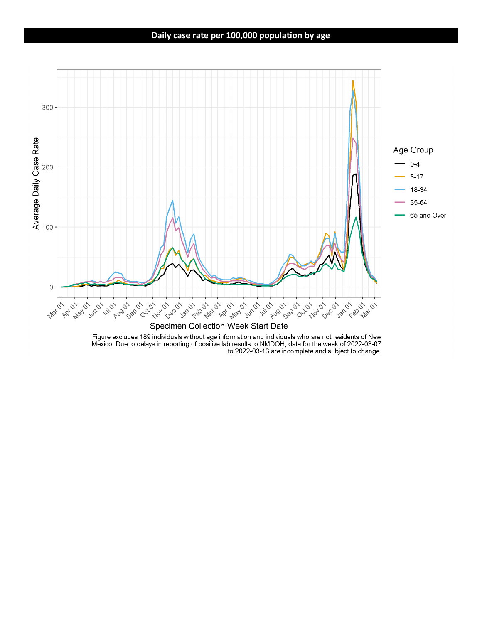#### **Daily case rate per 100,000 population by age**



Figure excludes 189 individuals without age information and individuals who are not residents of New<br>Mexico. Due to delays in reporting of positive lab results to NMDOH, data for the week of 2022-03-07 to 2022-03-13 are incomplete and subject to change.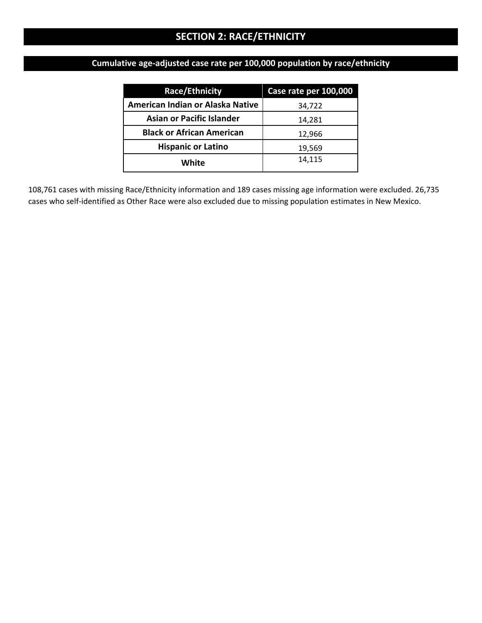# **SECTION 2: RACE/ETHNICITY**

# **Cumulative age-adjusted case rate per 100,000 population by race/ethnicity**

| Race/Ethnicity                          | Case rate per 100,000 |
|-----------------------------------------|-----------------------|
| <b>American Indian or Alaska Native</b> | 34,722                |
| <b>Asian or Pacific Islander</b>        | 14,281                |
| <b>Black or African American</b>        | 12,966                |
| <b>Hispanic or Latino</b>               | 19,569                |
| White                                   | 14,115                |

108,761 cases with missing Race/Ethnicity information and 189 cases missing age information were excluded. 26,735 cases who self-identified as Other Race were also excluded due to missing population estimates in New Mexico.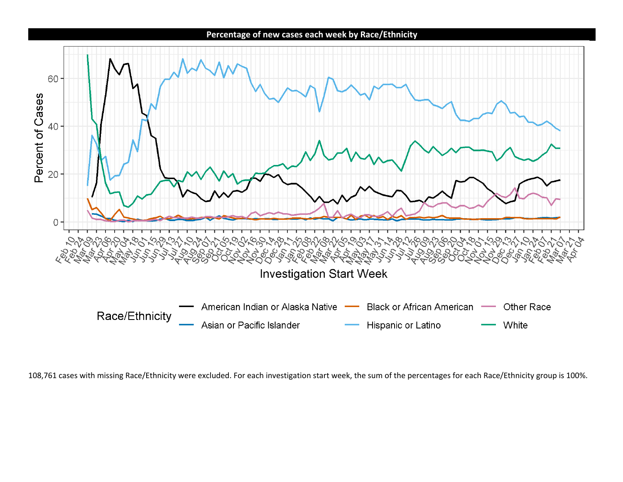

108,761 cases with missing Race/Ethnicity were excluded. For each investigation start week, the sum of the percentages for each Race/Ethnicity group is 100%.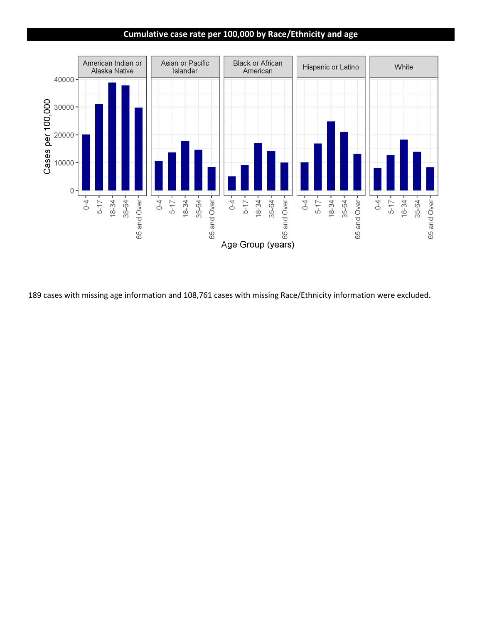#### **Cumulative case rate per 100,000 by Race/Ethnicity and age**



189 cases with missing age information and 108,761 cases with missing Race/Ethnicity information were excluded.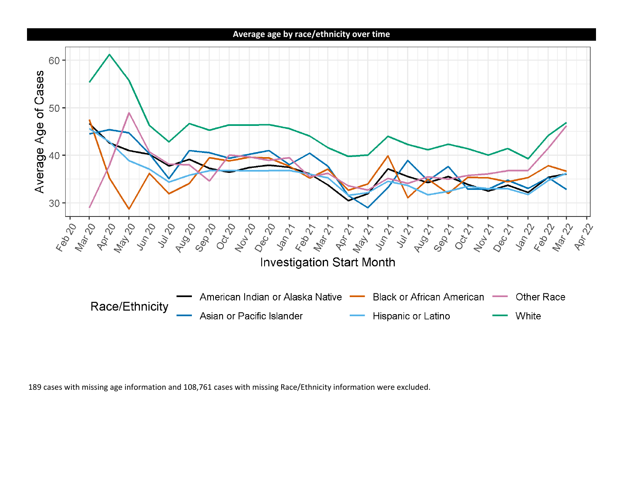**Average age by race/ethnicity over time**



189 cases with missing age information and 108,761 cases with missing Race/Ethnicity information were excluded.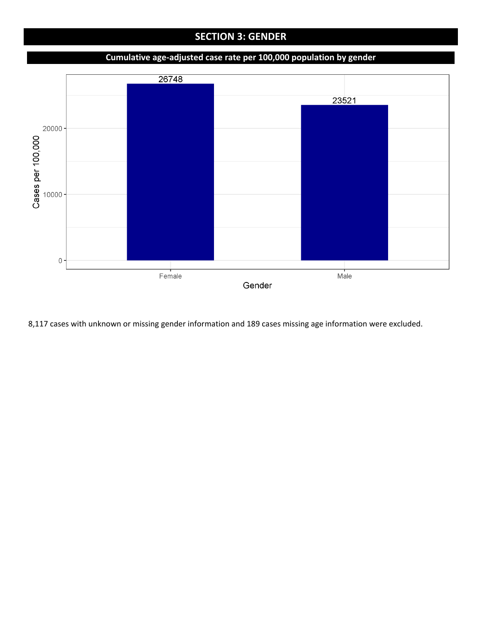# **SECTION 3: GENDER**

### **Cumulative age-adjusted case rate per 100,000 population by gender**



8,117 cases with unknown or missing gender information and 189 cases missing age information were excluded.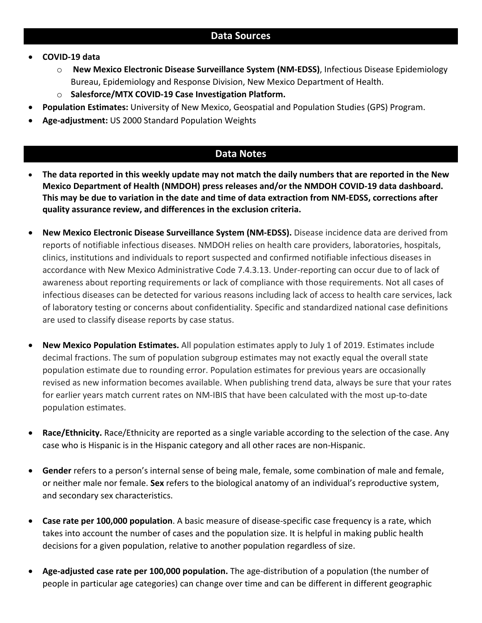- **COVID-19 data**
	- o **New Mexico Electronic Disease Surveillance System (NM-EDSS)**, Infectious Disease Epidemiology Bureau, Epidemiology and Response Division, New Mexico Department of Health.
	- o **Salesforce/MTX COVID-19 Case Investigation Platform.**
- **Population Estimates:** University of New Mexico, Geospatial and Population Studies (GPS) Program.
- **Age-adjustment:** US 2000 Standard Population Weights

## **Data Notes**

- **The data reported in this weekly update may not match the daily numbers that are reported in the New Mexico Department of Health (NMDOH) press releases and/or the NMDOH COVID-19 data dashboard. This may be due to variation in the date and time of data extraction from NM-EDSS, corrections after quality assurance review, and differences in the exclusion criteria.**
- **New Mexico Electronic Disease Surveillance System (NM-EDSS).** Disease incidence data are derived from reports of notifiable infectious diseases. NMDOH relies on health care providers, laboratories, hospitals, clinics, institutions and individuals to report suspected and confirmed notifiable infectious diseases in accordance with New Mexico Administrative Code 7.4.3.13. Under-reporting can occur due to of lack of awareness about reporting requirements or lack of compliance with those requirements. Not all cases of infectious diseases can be detected for various reasons including lack of access to health care services, lack of laboratory testing or concerns about confidentiality. Specific and standardized national case definitions are used to classify disease reports by case status.
- **New Mexico Population Estimates.** All population estimates apply to July 1 of 2019. Estimates include decimal fractions. The sum of population subgroup estimates may not exactly equal the overall state population estimate due to rounding error. Population estimates for previous years are occasionally revised as new information becomes available. When publishing trend data, always be sure that your rates for earlier years match current rates on NM-IBIS that have been calculated with the most up-to-date population estimates.
- **Race/Ethnicity.** Race/Ethnicity are reported as a single variable according to the selection of the case. Any case who is Hispanic is in the Hispanic category and all other races are non-Hispanic.
- **Gender** refers to a person's internal sense of being male, female, some combination of male and female, or neither male nor female. **Sex** refers to the biological anatomy of an individual's reproductive system, and secondary sex characteristics.
- **Case rate per 100,000 population**. A basic measure of disease-specific case frequency is a rate, which takes into account the number of cases and the population size. It is helpful in making public health decisions for a given population, relative to another population regardless of size.
- **Age-adjusted case rate per 100,000 population.** The age-distribution of a population (the number of people in particular age categories) can change over time and can be different in different geographic